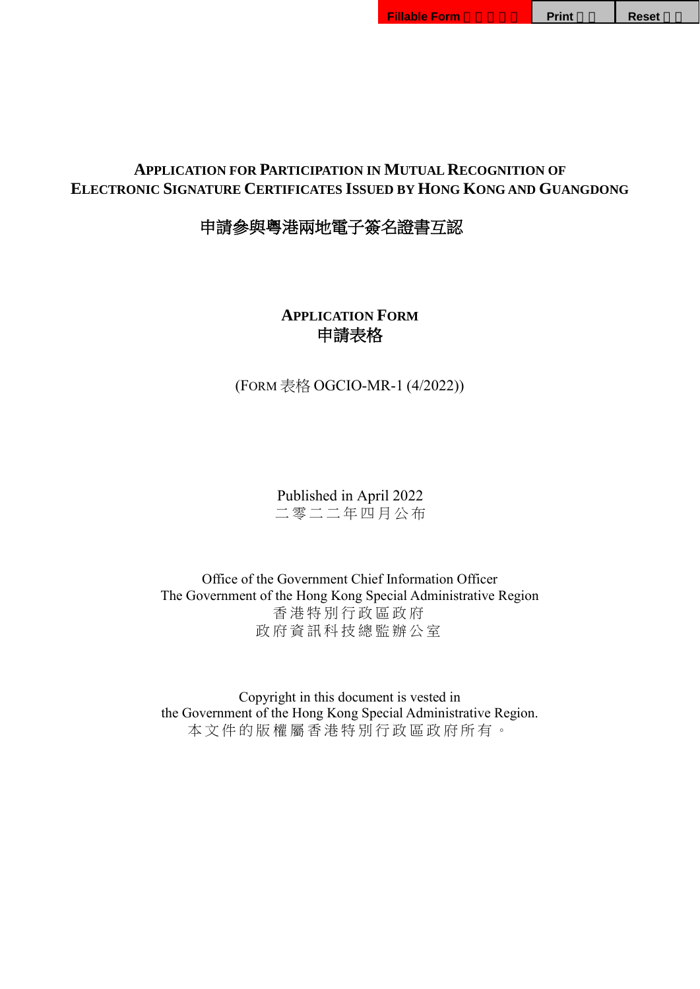申請參與粵港兩地電子簽名證書互認

**APPLICATION FORM** 申請表格

(FORM 表格 OGCIO-MR-1 (4/2022))

Published in April 2022 二 零 二 二 年 四 月公布

Office of the Government Chief Information Officer The Government of the Hong Kong Special Administrative Region 香港特別行政區政府 政府資訊科技總監辦公室

<span id="page-0-0"></span>Copyright in this document is vested in the Government of the Hong Kong Special Administrative Region. 本文件的版權屬香港特別行政區政府所有。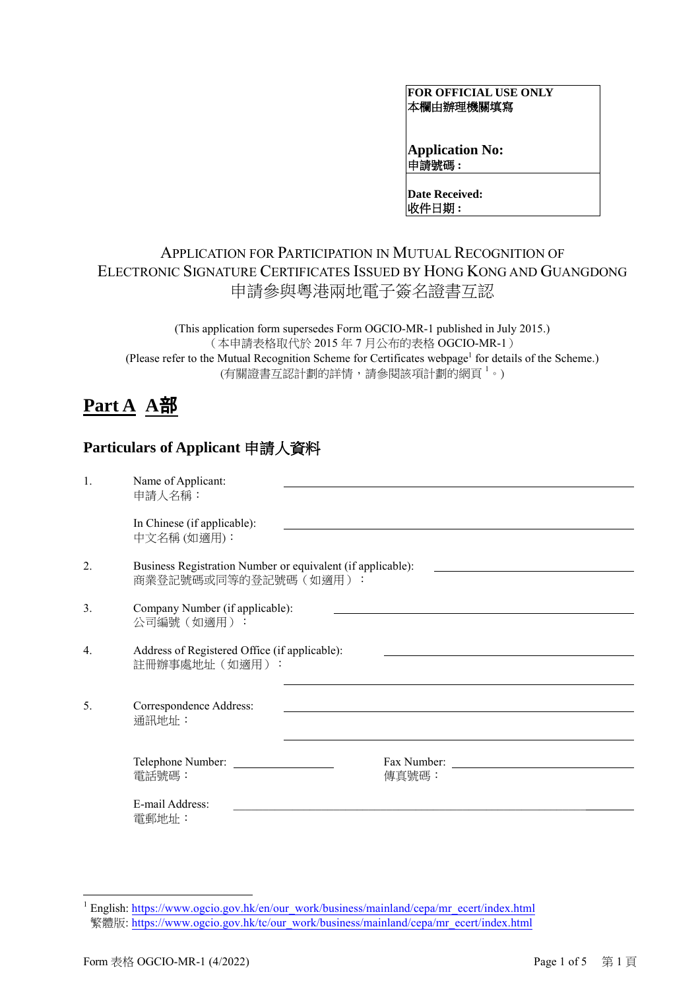#### **FOR OFFICIAL USE ONLY** 本欄由辦理機關填寫

**Application No:** 申請號碼 **:**

**Date Received:** 收件日期 **:** 

## APPLICATION FOR PARTICIPATION IN MUTUAL RECOGNITION OF ELECTRONIC SIGNATURE CERTIFICATES ISSUED BY HONG KONG AND GUANGDONG 申請參與粵港兩地電子簽名證書互認

(This application form supersedes Form OGCIO-MR-1 published in July 2015.) (本申請表格取代於 2015 年 7 月公布的表格 OGCIO-MR-1) (Please refer to the Mutual Recognition Scheme for Certificates webpage<sup>[1](#page-0-0)</sup> for details of the Scheme.) (有關證書互認計劃的詳情,請參閱該項計劃的網頁 1。)

# **Part A A**部

## **Particulars of Applicant** 申請人資料

| 1.               | Name of Applicant:<br>申請人名稱:                                                         |       |
|------------------|--------------------------------------------------------------------------------------|-------|
|                  | In Chinese (if applicable):<br>中文名稱(如適用):                                            |       |
| 2.               | Business Registration Number or equivalent (if applicable):<br>商業登記號碼或同等的登記號碼 (如適用): |       |
| 3.               | Company Number (if applicable):<br>公司編號(如適用):                                        |       |
| $\overline{4}$ . | Address of Registered Office (if applicable):<br>註冊辦事處地址 (如適用):                      |       |
| 5.               | Correspondence Address:<br>通訊地址:                                                     |       |
|                  | Telephone Number:<br>電話號碼:                                                           | 傳真號碼: |
|                  | E-mail Address:<br>電郵地址:                                                             |       |

<span id="page-1-0"></span><sup>&</sup>lt;sup>1</sup> English: https://www.ogcio.gov.hk/en/our\_work/[business/mainland/cepa/mr\\_ecert/index.htm](https://www.ogcio.gov.hk/en/our_work/business/mainland/cepa/mr_ecert/index.html)l 繁體版: https://www.ogcio.gov.hk/tc/our\_work/[business/mainland/cepa/mr\\_ecert/index.htm](https://www.ogcio.gov.hk/tc/our_work/business/mainland/cepa/mr_ecert/index.html)l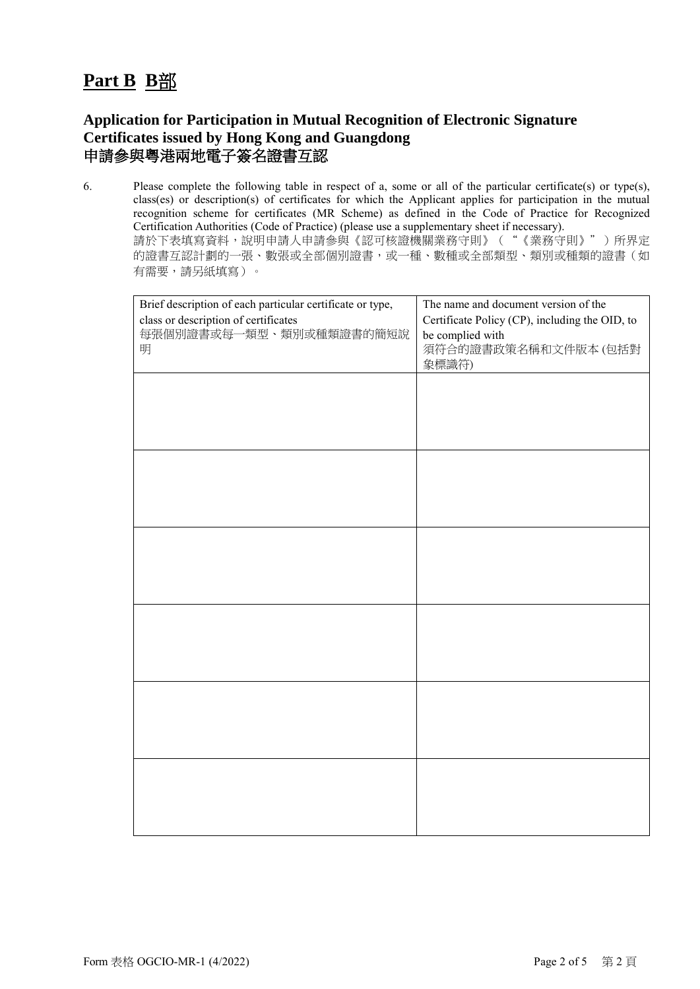# **Part B B**部

### **Application for Participation in Mutual Recognition of Electronic Signature Certificates issued by Hong Kong and Guangdong**  申請參與粵港兩地電子簽名證書互認

6. Please complete the following table in respect of a, some or all of the particular certificate(s) or type(s), class(es) or description(s) of certificates for which the Applicant applies for participation in the mutual recognition scheme for certificates (MR Scheme) as defined in the Code of Practice for Recognized Certification Authorities (Code of Practice) (please use a supplementary sheet if necessary). 請於下表填寫資料,說明申請人申請參與《認可核證機關業務守則》("《業務守則》")所界定 的證書互認計劃的一張、數張或全部個別證書,或一種、數種或全部類型、類別或種類的證書(如 有需要,請另紙填寫)。

| Brief description of each particular certificate or type,<br>class or description of certificates<br>每張個別證書或每一類型、類別或種類證書的簡短說<br>明 | The name and document version of the<br>Certificate Policy (CP), including the OID, to<br>be complied with<br>須符合的證書政策名稱和文件版本(包括對<br>象標識符) |
|-----------------------------------------------------------------------------------------------------------------------------------|--------------------------------------------------------------------------------------------------------------------------------------------|
|                                                                                                                                   |                                                                                                                                            |
|                                                                                                                                   |                                                                                                                                            |
|                                                                                                                                   |                                                                                                                                            |
|                                                                                                                                   |                                                                                                                                            |
|                                                                                                                                   |                                                                                                                                            |
|                                                                                                                                   |                                                                                                                                            |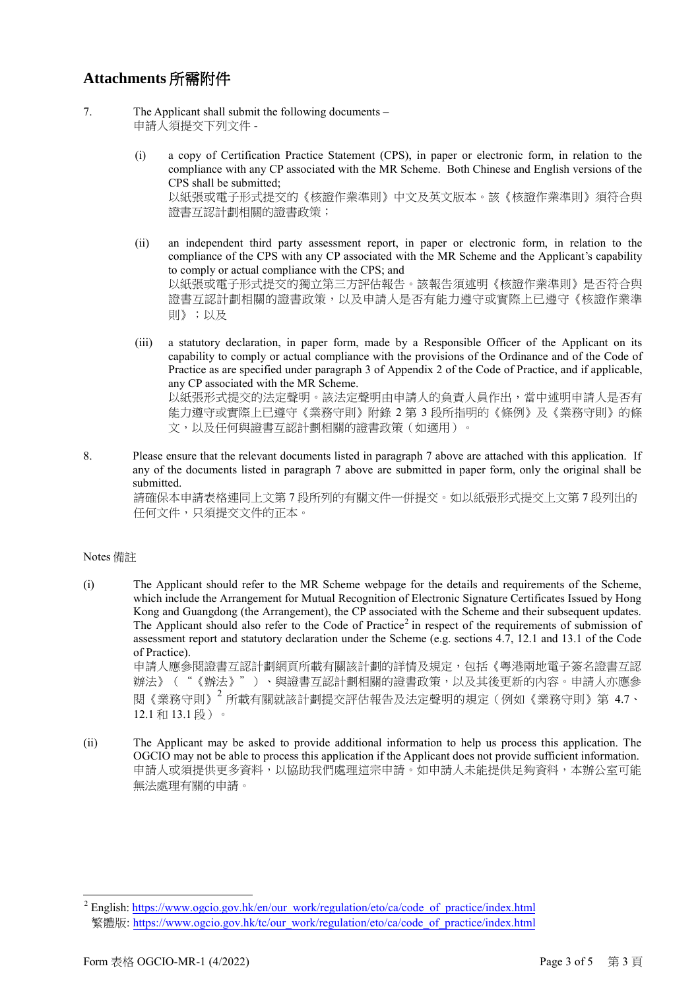#### **Attachments** 所需附件

- 7. The Applicant shall submit the following documents 申請人須提交下列文件 -
	- (i) a copy of Certification Practice Statement (CPS), in paper or electronic form, in relation to the compliance with any CP associated with the MR Scheme. Both Chinese and English versions of the CPS shall be submitted; 以紙張或電子形式提交的《核證作業準則》中文及英文版本。該《核證作業準則》須符合與 證書互認計劃相關的證書政策;
	- (ii) an independent third party assessment report, in paper or electronic form, in relation to the compliance of the CPS with any CP associated with the MR Scheme and the Applicant's capability to comply or actual compliance with the CPS; and 以紙張或電子形式提交的獨立第三方評估報告。該報告須述明《核證作業準則》是否符合與 證書互認計劃相關的證書政策,以及申請人是否有能力遵守或實際上已遵守《核證作業準 則》;以及
	- (iii) a statutory declaration, in paper form, made by a Responsible Officer of the Applicant on its capability to comply or actual compliance with the provisions of the Ordinance and of the Code of Practice as are specified under paragraph 3 of Appendix 2 of the Code of Practice, and if applicable, any CP associated with the MR Scheme. 以紙張形式提交的法定聲明。該法定聲明由申請人的負責人員作出,當中述明申請人是否有 能力遵守或實際上已遵守《業務守則》附錄 2 第 3 段所指明的《條例》及《業務守則》的條 文,以及任何與證書互認計劃相關的證書政策(如適用)。
- 8. Please ensure that the relevant documents listed in paragraph 7 above are attached with this application. If any of the documents listed in paragraph 7 above are submitted in paper form, only the original shall be submitted.

請確保本申請表格連同上文第 7 段所列的有關文件一併提交。如以紙張形式提交上文第 7 段列出的 任何文件,只須提交文件的正本。

#### Notes 備註

- (i) The Applicant should refer to the MR Scheme webpage for the details and requirements of the Scheme, which include the Arrangement for Mutual Recognition of Electronic Signature Certificates Issued by Hong Kong and Guangdong (the Arrangement), the CP associated with the Scheme and their subsequent updates. The Applicant should also refer to the Code of Practice<sup>[2](#page-1-0)</sup> in respect of the requirements of submission of assessment report and statutory declaration under the Scheme (e.g. sections 4.7, 12.1 and 13.1 of the Code of Practice). 申請人應參閱證書互認計劃網頁所載有關該計劃的詳情及規定,包括《粵港兩地電子簽名證書互認 辦法》("《辦法》")、與證書互認計劃相關的證書政策,以及其後更新的內容。申請人亦應參 閱《業務守則》<sup>2</sup> 所載有關就該計劃提交評估報告及法定聲明的規定(例如《業務守則》第 4.7、 12.1 和 13.1 段)。
- (ii) The Applicant may be asked to provide additional information to help us process this application. The OGCIO may not be able to process this application if the Applicant does not provide sufficient information. 申請人或須提供更多資料,以協助我們處理這宗申請。如申請人未能提供足夠資料,本辦公室可能 無法處理有關的申請。

<sup>&</sup>lt;sup>2</sup> English: https://www.ogcio.gov.hk/en/our\_work/[regulation/eto/ca/code\\_of\\_practice/index.htm](https://www.ogcio.gov.hk/en/our_work/regulation/eto/ca/code_of_practice/index.html)l 繁體版: https://www.ogcio.gov.hk/tc/our\_work/[regulation/eto/ca/code\\_of\\_practice/index.htm](https://www.ogcio.gov.hk/tc/our_work/regulation/eto/ca/code_of_practice/index.html)l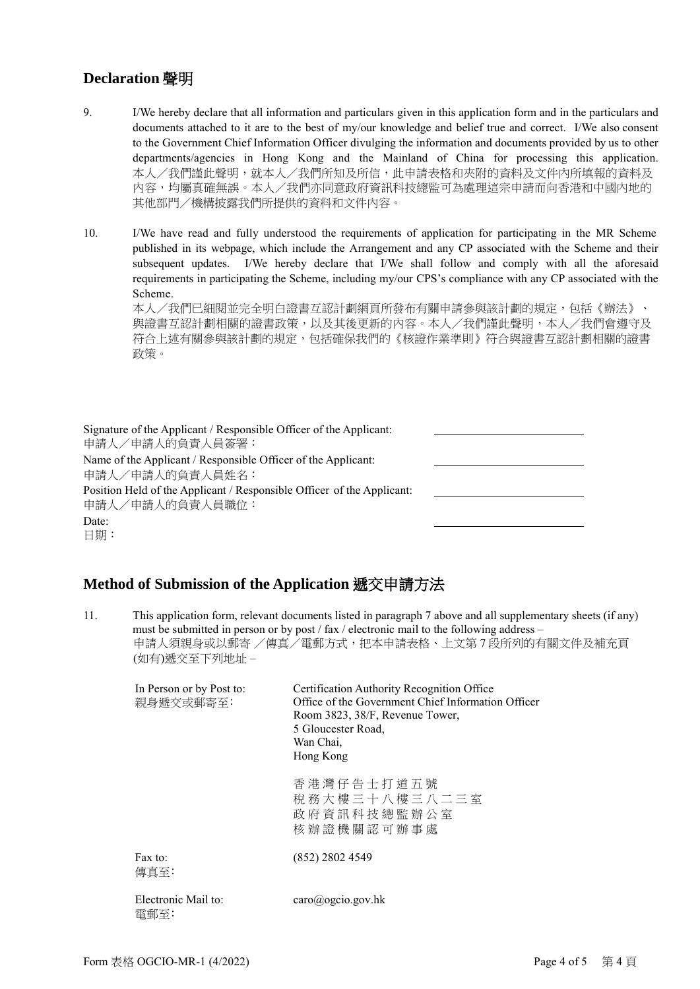### **Declaration** 聲明

9. I/We hereby declare that all information and particulars given in this application form and in the particulars and documents attached to it are to the best of my/our knowledge and belief true and correct. I/We also consent to the Government Chief Information Officer divulging the information and documents provided by us to other departments/agencies in Hong Kong and the Mainland of China for processing this application. 本人/我們謹此聲明,就本人/我們所知及所信,此申請表格和夾附的資料及文件內所填報的資料及 內容,均屬真確無誤。本人/我們亦同意政府資訊科技總監可為處理這宗申請而向香港和中國內地的 其他部門/機構披露我們所提供的資料和文件內容。

10. I/We have read and fully understood the requirements of application for participating in the MR Scheme published in its webpage, which include the Arrangement and any CP associated with the Scheme and their subsequent updates. I/We hereby declare that I/We shall follow and comply with all the aforesaid requirements in participating the Scheme, including my/our CPS's compliance with any CP associated with the Scheme.

本人/我們已細閱並完全明白證書互認計劃網頁所發布有關申請參與該計劃的規定,包括《辦法》、 與證書互認計劃相關的證書政策,以及其後更新的內容。本人/我們謹此聲明,本人/我們會遵守及 符合上述有關參與該計劃的規定,包括確保我們的《核證作業準則》符合與證書互認計劃相關的證書 政策。

Signature of the Applicant / Responsible Officer of the Applicant: 申請人/申請人的負責人員簽署: Name of the Applicant / Responsible Officer of the Applicant: 申請人/申請人的負責人員姓名: Position Held of the Applicant / Responsible Officer of the Applicant: 申請人/申請人的負責人員職位: Date: 日期:

#### **Method of Submission of the Application** 遞交申請方法

11. This application form, relevant documents listed in paragraph 7 above and all supplementary sheets (if any) must be submitted in person or by post / fax / electronic mail to the following address – 申請人須親身或以郵寄 /傳真/電郵方式,把本申請表格、上文第7段所列的有關文件及補充頁 (如有)遞交至下列地址 –

| In Person or by Post to:<br>親身遞交或郵寄至: | Certification Authority Recognition Office<br>Office of the Government Chief Information Officer<br>Room 3823, 38/F, Revenue Tower,<br>5 Gloucester Road,<br>Wan Chai.<br>Hong Kong |
|---------------------------------------|-------------------------------------------------------------------------------------------------------------------------------------------------------------------------------------|
|                                       | 香港灣仔告士打道五號<br>稅務大樓三十八樓三八二三室<br>政府資訊科技總監辦公室<br>核 辦 證 機 關 認 可 辦 事 處                                                                                                                   |
| Fax to:<br>傳直至:                       | $(852)$ 2802 4549                                                                                                                                                                   |
| Electronic Mail to:<br>雷郵至:           | $\text{caro}(a)$ ogcio.gov.hk                                                                                                                                                       |